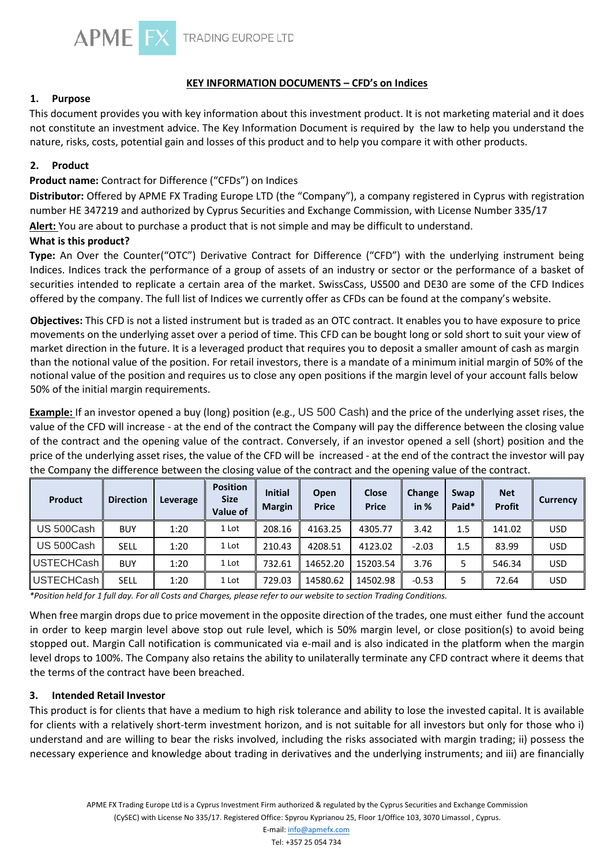



# **KEY INFORMATION DOCUMENTS – CFD's on Indices**

# **1. Purpose**

This document provides you with key information about this investment product. It is not marketing material and it does not constitute an investment advice. The Key Information Document is required by the law to help you understand the nature, risks, costs, potential gain and losses of this product and to help you compare it with other products.

# **2. Product**

# **Product name:** Contract for Difference ("CFDs") on Indices

**Distributor:** Offered by APME FX Trading Europe LTD (the "Company"), a company registered in Cyprus with registration number HE 347219 and authorized by Cyprus Securities and Exchange Commission, with License Number 335/17

**Alert:** You are about to purchase a product that is not simple and may be difficult to understand.

# **What is this product?**

**Type:** An Over the Counter("OTC") Derivative Contract for Difference ("CFD") with the underlying instrument being Indices. Indices track the performance of a group of assets of an industry or sector or the performance of a basket of securities intended to replicate a certain area of the market. SwissCass, US500 and DE30 are some of the CFD Indices offered by the company. The full list of Indices we currently offer as CFDs can be found at the company's website.

**Objectives:** This CFD is not a listed instrument but is traded as an OTC contract. It enables you to have exposure to price movements on the underlying asset over a period of time. This CFD can be bought long or sold short to suit your view of market direction in the future. It is a leveraged product that requires you to deposit a smaller amount of cash as margin than the notional value of the position. For retail investors, there is a mandate of a minimum initial margin of 50% of the notional value of the position and requires us to close any open positions if the margin level of your account falls below 50% of the initial margin requirements.

**Example:** If an investor opened a buy (long) position (e.g., US 500 Cash) and the price of the underlying asset rises, the value of the CFD will increase - at the end of the contract the Company will pay the difference between the closing value of the contract and the opening value of the contract. Conversely, if an investor opened a sell (short) position and the price of the underlying asset rises, the value of the CFD will be increased - at the end of the contract the investor will pay the Company the difference between the closing value of the contract and the opening value of the contract.

| <b>Product</b>    | <b>Direction</b> | Leverage | <b>Position</b><br><b>Size</b><br>Value of | <b>Initial</b><br><b>Margin</b> | Open<br><b>Price</b> | <b>Close</b><br><b>Price</b> | Change<br>in $%$ | Swap<br>Paid* | <b>Net</b><br><b>Profit</b> | <b>Currency</b> |
|-------------------|------------------|----------|--------------------------------------------|---------------------------------|----------------------|------------------------------|------------------|---------------|-----------------------------|-----------------|
| US 500Cash        | <b>BUY</b>       | 1:20     | 1 Lot                                      | 208.16                          | 4163.25              | 4305.77                      | 3.42             | $1.5\,$       | 141.02                      | <b>USD</b>      |
| US 500Cash        | <b>SELL</b>      | 1:20     | 1 Lot                                      | 210.43                          | 4208.51              | 4123.02                      | $-2.03$          | 1.5           | 83.99                       | <b>USD</b>      |
| USTECHCash        | <b>BUY</b>       | 1:20     | 1 Lot                                      | 732.61                          | 14652.20             | 15203.54                     | 3.76             | 5             | 546.34                      | <b>USD</b>      |
| <b>USTECHCash</b> | <b>SELL</b>      | 1:20     | 1 Lot                                      | 729.03                          | 14580.62             | 14502.98                     | $-0.53$          | 5             | 72.64                       | <b>USD</b>      |

*\*Position held for 1 full day. For all Costs and Charges, please refer to our website to section Trading Conditions.* 

When free margin drops due to price movement in the opposite direction of the trades, one must either fund the account in order to keep margin level above stop out rule level, which is 50% margin level, or close position(s) to avoid being stopped out. Margin Call notification is communicated via e-mail and is also indicated in the platform when the margin level drops to 100%. The Company also retains the ability to unilaterally terminate any CFD contract where it deems that the terms of the contract have been breached.

# **3. Intended Retail Investor**

This product is for clients that have a medium to high risk tolerance and ability to lose the invested capital. It is available for clients with a relatively short-term investment horizon, and is not suitable for all investors but only for those who i) understand and are willing to bear the risks involved, including the risks associated with margin trading; ii) possess the necessary experience and knowledge about trading in derivatives and the underlying instruments; and iii) are financially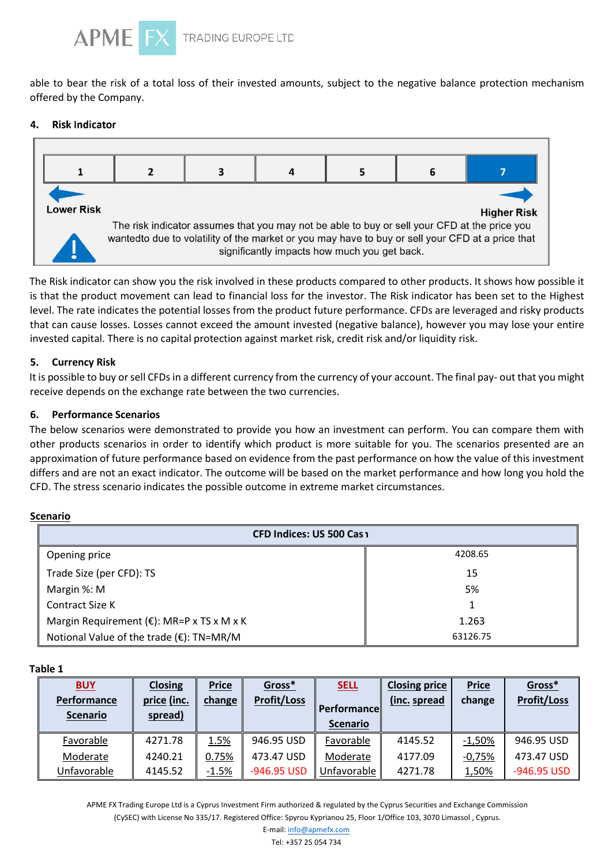

able to bear the risk of a total loss of their invested amounts, subject to the negative balance protection mechanism offered by the Company.

#### 4. **Risk Indicator**



The Risk indicator can show you the risk involved in these products compared to other products. It shows how possible it is that the product movement can lead to financial loss for the investor. The Risk indicator has been set to the Highest level. The rate indicates the potential losses from the product future performance. CFDs are leveraged and risky products that can cause losses. Losses cannot exceed the amount invested (negative balance), however you may lose your entire invested capital. There is no capital protection against market risk, credit risk and/or liquidity risk.

# **5. Currency Risk**

It is possible to buy or sell CFDs in a different currency from the currency of your account. The final pay- out that you might receive depends on the exchange rate between the two currencies.

# **6. Performance Scenarios**

The below scenarios were demonstrated to provide you how an investment can perform. You can compare them with other products scenarios in order to identify which product is more suitable for you. The scenarios presented are an approximation of future performance based on evidence from the past performance on how the value of this investment differs and are not an exact indicator. The outcome will be based on the market performance and how long you hold the CFD. The stress scenario indicates the possible outcome in extreme market circumstances.

## **Scenario**

| CFD Indices: US 500 Cas 1                            |          |  |  |  |  |  |
|------------------------------------------------------|----------|--|--|--|--|--|
| Opening price                                        | 4208.65  |  |  |  |  |  |
| Trade Size (per CFD): TS                             | 15       |  |  |  |  |  |
| Margin %: M                                          | 5%       |  |  |  |  |  |
| Contract Size K                                      |          |  |  |  |  |  |
| Margin Requirement ( $\epsilon$ ): MR=P x TS x M x K | 1.263    |  |  |  |  |  |
| Notional Value of the trade (€): TN=MR/M             | 63126.75 |  |  |  |  |  |

## **Table 1**

| <b>BUY</b>                     | <b>Closing</b>         | <b>Price</b> | Gross*             | <b>SELL</b>        | <b>Closing price</b> | <b>Price</b> | Gross*             |
|--------------------------------|------------------------|--------------|--------------------|--------------------|----------------------|--------------|--------------------|
| Performance<br><b>Scenario</b> | price (inc.<br>spread) | change       | <b>Profit/Loss</b> | <b>Performance</b> | (inc. spread         | change       | <b>Profit/Loss</b> |
|                                |                        |              |                    | <b>Scenario</b>    |                      |              |                    |
| Favorable                      | 4271.78                | 1.5%         | 946.95 USD         | Favorable          | 4145.52              | $-1,50%$     | 946.95 USD         |
| Moderate                       | 4240.21                | 0.75%        | 473.47 USD         | Moderate           | 4177.09              | $-0,75%$     | 473.47 USD         |
| Unfavorable                    | 4145.52                | $-1.5%$      | -946.95 USD        | Unfavorable        | 4271.78              | 1,50%        | -946.95 USD        |

APME FX Trading Europe Ltd is a Cyprus Investment Firm authorized & regulated by the Cyprus Securities and Exchange Commission (CySEC) with License No 335/17. Registered Office: Spyrou Kyprianou 25, Floor 1/Office 103, 3070 Limassol , Cyprus.

> E-mail: info@apmefx.com Tel: +357 25 054 734